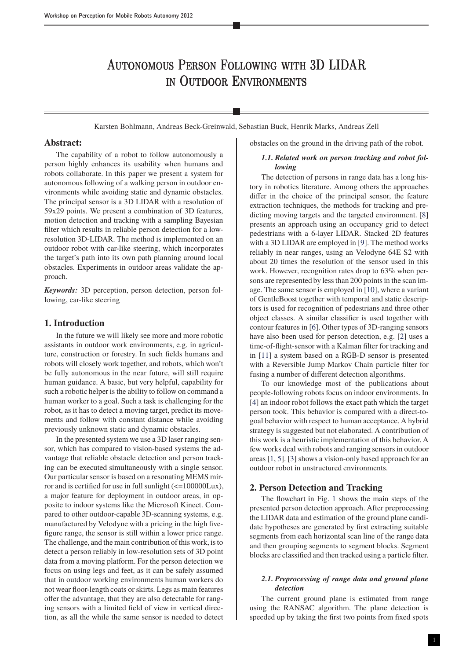# Autonomous Person Following with 3D LIDAR in Outdoor Environments

Karsten Bohlmann, Andreas Beck-Greinwald, Sebastian Buck, Henrik Marks, Andreas Zell

# **Abstract:**

The capability of a robot to follow autonomously a person highly enhances its usability when humans and robots collaborate. In this paper we present a system for autonomous following of a walking person in outdoor environments while avoiding static and dynamic obstacles. The principal sensor is a 3D LIDAR with a resolution of 59x29 points. We present a combination of 3D features, motion detection and tracking with a sampling Bayesian filter which results in reliable person detection for a lowresolution 3D-LIDAR. The method is implemented on an outdoor robot with car-like steering, which incorporates the target's path into its own path planning around local obstacles. Experiments in outdoor areas validate the approach.

*Keywords:* 3D perception, person detection, person following, car-like steering

# **1. Introduction**

In the future we will likely see more and more robotic assistants in outdoor work environments, e.g. in agriculture, construction or forestry. In such fields humans and robots will closely work together, and robots, which won't be fully autonomous in the near future, will still require human guidance. A basic, but very helpful, capability for such a robotic helper is the ability to follow on command a human worker to a goal. Such a task is challenging for the robot, as it has to detect a moving target, predict its movements and follow with constant distance while avoiding previously unknown static and dynamic obstacles.

In the presented system we use a 3D laser ranging sensor, which has compared to vision-based systems the advantage that reliable obstacle detection and person tracking can be executed simultaneously with a single sensor. Our particular sensor is based on a resonating MEMS mirror and is certified for use in full sunlight (<=100000Lux), a major feature for deployment in outdoor areas, in opposite to indoor systems like the Microsoft Kinect. Compared to other outdoor-capable 3D-scanning systems, e.g. manufactured by Velodyne with a pricing in the high fivefigure range, the sensor is still within a lower price range. The challenge, and the main contribution of this work, is to detect a person reliably in low-resolution sets of 3D point data from a moving platform. For the person detection we focus on using legs and feet, as it can be safely assumed that in outdoor working environments human workers do not wear floor-length coats or skirts. Legs as main features offer the advantage, that they are also detectable for ranging sensors with a limited field of view in vertical direction, as all the while the same sensor is needed to detect

obstacles on the ground in the driving path of the robot.

# *1.1. Related work on person tracking and robot following*

The detection of persons in range data has a long history in robotics literature. Among others the approaches differ in the choice of the principal sensor, the feature extraction techniques, the methods for tracking and predicting moving targets and the targeted environment. [\[8\]](#page-5-0) presents an approach using an occupancy grid to detect pedestrians with a 6-layer LIDAR. Stacked 2D features with a 3D LIDAR are employed in [\[9\]](#page-5-1). The method works reliably in near ranges, using an Velodyne 64E S2 with about 20 times the resolution of the sensor used in this work. However, recognition rates drop to 63% when persons are represented by less than 200 points in the scan image. The same sensor is employed in [\[10\]](#page-5-2), where a variant of GentleBoost together with temporal and static descriptors is used for recognition of pedestrians and three other object classes. A similar classifier is used together with contour features in [\[6\]](#page-5-3). Other types of 3D-ranging sensors have also been used for person detection, e.g. [\[2\]](#page-5-4) uses a time-of-flight-sensor with a Kalman filter for tracking and in [\[11\]](#page-5-5) a system based on a RGB-D sensor is presented with a Reversible Jump Markov Chain particle filter for fusing a number of different detection algorithms.

To our knowledge most of the publications about people-following robots focus on indoor environments. In [\[4\]](#page-5-6) an indoor robot follows the exact path which the target person took. This behavior is compared with a direct-togoal behavior with respect to human acceptance. A hybrid strategy is suggested but not elaborated. A contribution of this work is a heuristic implementation of this behavior. A few works deal with robots and ranging sensors in outdoor areas [\[1,](#page-5-7) [5\]](#page-5-8). [\[3\]](#page-5-9) shows a vision-only based approach for an outdoor robot in unstructured environments.

## **2. Person Detection and Tracking**

The flowchart in Fig. [1](#page-1-0) shows the main steps of the presented person detection approach. After preprocessing the LIDAR data and estimation of the ground plane candidate hypotheses are generated by first extracting suitable segments from each horizontal scan line of the range data and then grouping segments to segment blocks. Segment blocks are classified and then tracked using a particle filter.

### <span id="page-0-0"></span>*2.1. Preprocessing of range data and ground plane detection*

The current ground plane is estimated from range using the RANSAC algorithm. The plane detection is speeded up by taking the first two points from fixed spots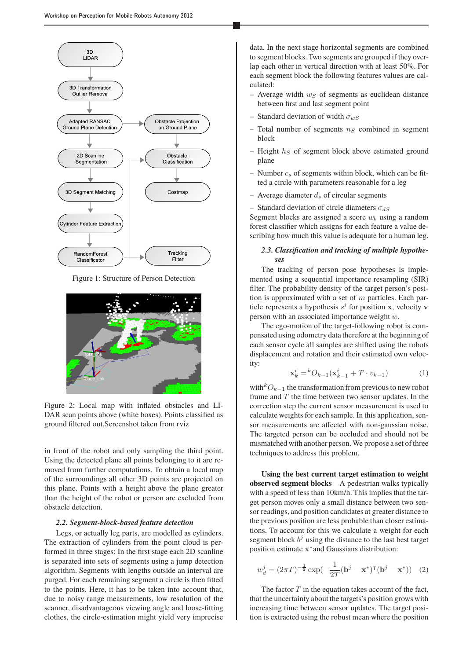<span id="page-1-0"></span>

Figure 1: Structure of Person Detection

<span id="page-1-1"></span>

Figure 2: Local map with inflated obstacles and LI-DAR scan points above (white boxes). Points classified as ground filtered out.Screenshot taken from rviz

in front of the robot and only sampling the third point. Using the detected plane all points belonging to it are removed from further computations. To obtain a local map of the surroundings all other 3D points are projected on this plane. Points with a height above the plane greater than the height of the robot or person are excluded from obstacle detection.

### *2.2. Segment-block-based feature detection*

Legs, or actually leg parts, are modelled as cylinders. The extraction of cylinders from the point cloud is performed in three stages: In the first stage each 2D scanline is separated into sets of segments using a jump detection algorithm. Segments with lengths outside an interval are purged. For each remaining segment a circle is then fitted to the points. Here, it has to be taken into account that, due to noisy range measurements, low resolution of the scanner, disadvantageous viewing angle and loose-fitting clothes, the circle-estimation might yield very imprecise data. In the next stage horizontal segments are combined to segment blocks. Two segments are grouped if they overlap each other in vertical direction with at least 50%. For each segment block the following features values are calculated:

- Average width  $w_S$  of segments as euclidean distance between first and last segment point
- Standard deviation of width  $\sigma_{wS}$
- Total number of segments  $n<sub>S</sub>$  combined in segment block
- Height  $h<sub>S</sub>$  of segment block above estimated ground plane
- Number  $c_s$  of segments within block, which can be fitted a circle with parameters reasonable for a leg
- Average diameter  $d_s$  of circular segments
- Standard deviation of circle diameters  $\sigma_{dS}$

Segment blocks are assigned a score  $w_b$  using a random forest classifier which assigns for each feature a value describing how much this value is adequate for a human leg.

# *2.3. Classification and tracking of multiple hypotheses*

The tracking of person pose hypotheses is implemented using a sequential importance resampling (SIR) filter. The probability density of the target person's position is approximated with a set of  $m$  particles. Each particle represents a hypothesis  $s^i$  for position x, velocity v person with an associated importance weight w.

The ego-motion of the target-following robot is compensated using odometry data therefore at the beginning of each sensor cycle all samples are shifted using the robots displacement and rotation and their estimated own velocity:

$$
\mathbf{x}_{k}^{i} = {}^{k}O_{k-1}(\mathbf{x}_{k-1}^{i} + T \cdot v_{k-1})
$$
 (1)

with<sup>k</sup> $O_{k-1}$  the transformation from previous to new robot frame and  $T$  the time between two sensor updates. In the correction step the current sensor measurement is used to calculate weights for each sample. In this application, sensor measurements are affected with non-gaussian noise. The targeted person can be occluded and should not be mismatched with another person.We propose a set of three techniques to address this problem.

**Using the best current target estimation to weight observed segment blocks** A pedestrian walks typically with a speed of less than 10km/h. This implies that the target person moves only a small distance between two sensor readings, and position candidates at greater distance to the previous position are less probable than closer estimations. To account for this we calculate a weight for each segment block  $b^j$  using the distance to the last best target position estimate x ∗ and Gaussians distribution:

$$
w_d^j = (2\pi T)^{-\frac{1}{2}} \exp(-\frac{1}{2T}(\mathbf{b}^j - \mathbf{x}^*)^\mathsf{T}(\mathbf{b}^j - \mathbf{x}^*)) \quad (2)
$$

The factor  $T$  in the equation takes account of the fact, that the uncertainty about the targets's position grows with increasing time between sensor updates. The target position is extracted using the robust mean where the position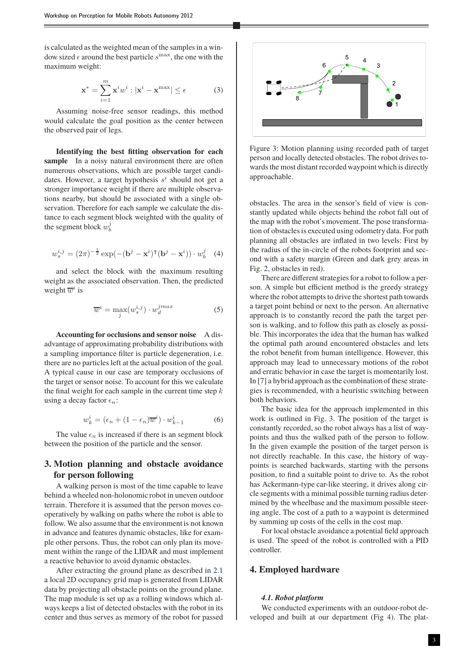is calculated as the weighted mean of the samples in a window sized  $\epsilon$  around the best particle  $s^{\text{max}}$ , the one with the maximum weight:

$$
\mathbf{x}^* = \sum_{i=1}^m \mathbf{x}^i w^i : |\mathbf{x}^i - \mathbf{x}^{\text{max}}| \le \epsilon \tag{3}
$$

Assuming noise-free sensor readings, this method would calculate the goal position as the center between the observed pair of legs.

**Identifying the best fitting observation for each sample** In a noisy natural environment there are often numerous observations, which are possible target candidates. However, a target hypothesis  $s^i$  should not get a stronger importance weight if there are multiple observations nearby, but should be associated with a single observation. Therefore for each sample we calculate the distance to each segment block weighted with the quality of the segment block  $w_b^j$ 

$$
w_s^{i,j} = (2\pi)^{-\frac{1}{2}} \exp(-(\mathbf{b}^j - \mathbf{x}^i)^{\mathsf{T}}(\mathbf{b}^j - \mathbf{x}^i)) \cdot w_b^j \quad (4)
$$

and select the block with the maximum resulting weight as the associated observation. Then, the predicted weight  $\overline{w}^i$  is

$$
\overline{w}^i = \max_j (w_s^{i,j}) \cdot w_d^{jmax} \tag{5}
$$

**Accounting for occlusions and sensor noise** A disadvantage of approximating probability distributions with a sampling importance filter is particle degeneration, i.e. there are no particles left at the actual position of the goal. A typical cause in our case are temporary occlusions of the target or sensor noise. To account for this we calculate the final weight for each sample in the current time step  $k$ using a decay factor  $\epsilon_n$ :

$$
w_k^i = (\epsilon_n + (1 - \epsilon_n)\overline{w}^i) \cdot w_{k-1}^i \tag{6}
$$

The value  $\epsilon_n$  is increased if there is an segment block between the position of the particle and the sensor.

# **3. Motion planning and obstacle avoidance for person following**

A walking person is most of the time capable to leave behind a wheeled non-holonomic robot in uneven outdoor terrain. Therefore it is assumed that the person moves cooperatively by walking on paths where the robot is able to follow. We also assume that the environment is not known in advance and features dynamic obstacles, like for example other persons. Thus, the robot can only plan its movement within the range of the LIDAR and must implement a reactive behavior to avoid dynamic obstacles.

After extracting the ground plane as described in [2.1](#page-0-0) a local 2D occupancy grid map is generated from LIDAR data by projecting all obstacle points on the ground plane. The map module is set up as a rolling windows which always keeps a list of detected obstacles with the robot in its center and thus serves as memory of the robot for passed

<span id="page-2-0"></span>

Figure 3: Motion planning using recorded path of target person and locally detected obstacles. The robot drives towards the most distant recorded waypoint which is directly approachable.

obstacles. The area in the sensor's field of view is constantly updated while objects behind the robot fall out of the map with the robot's movement. The pose transformation of obstacles is executed using odometry data. For path planning all obstacles are inflated in two levels: First by the radius of the in-circle of the robots footprint and second with a safety margin (Green and dark grey areas in Fig. [2,](#page-1-1) obstacles in red).

There are different strategies for a robot to follow a person. A simple but efficient method is the greedy strategy where the robot attempts to drive the shortest path towards a target point behind or next to the person. An alternative approach is to constantly record the path the target person is walking, and to follow this path as closely as possible. This incorporates the idea that the human has walked the optimal path around encountered obstacles and lets the robot benefit from human intelligence. However, this approach may lead to unnecessary motions of the robot and erratic behavior in case the target is momentarily lost. In [\[7\]](#page-5-10) a hybrid approach as the combination of these strategies is recommended, with a heuristic switching between both behaviors.

The basic idea for the approach implemented in this work is outlined in Fig. [3.](#page-2-0) The position of the target is constantly recorded, so the robot always has a list of waypoints and thus the walked path of the person to follow. In the given example the position of the target person is not directly reachable. In this case, the history of waypoints is searched backwards, starting with the persons position, to find a suitable point to drive to. As the robot has Ackermann-type car-like steering, it drives along circle segments with a minimal possible turning radius determined by the wheelbase and the maximum possible steering angle. The cost of a path to a waypoint is determined by summing up costs of the cells in the cost map.

For local obstacle avoidance a potential field approach is used. The speed of the robot is controlled with a PID controller.

# **4. Employed hardware**

## *4.1. Robot platform*

We conducted experiments with an outdoor-robot developed and built at our department (Fig [4\)](#page-3-0). The plat-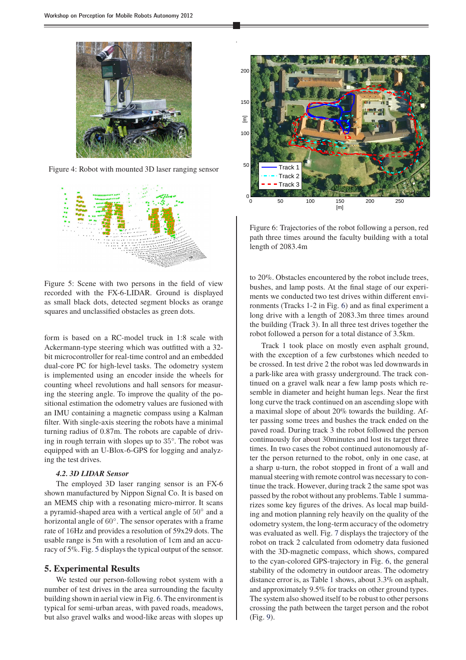<span id="page-3-0"></span>

Figure 4: Robot with mounted 3D laser ranging sensor

<span id="page-3-1"></span>

Figure 5: Scene with two persons in the field of view recorded with the FX-6-LIDAR. Ground is displayed as small black dots, detected segment blocks as orange squares and unclassified obstacles as green dots.

form is based on a RC-model truck in 1:8 scale with Ackermann-type steering which was outfitted with a 32 bit microcontroller for real-time control and an embedded dual-core PC for high-level tasks. The odometry system is implemented using an encoder inside the wheels for counting wheel revolutions and hall sensors for measuring the steering angle. To improve the quality of the positional estimation the odometry values are fusioned with an IMU containing a magnetic compass using a Kalman filter. With single-axis steering the robots have a minimal turning radius of 0.87m. The robots are capable of driving in rough terrain with slopes up to 35°. The robot was equipped with an U-Blox-6-GPS for logging and analyzing the test drives.

#### *4.2. 3D LIDAR Sensor*

The employed 3D laser ranging sensor is an FX-6 shown manufactured by Nippon Signal Co. It is based on an MEMS chip with a resonating micro-mirror. It scans a pyramid-shaped area with a vertical angle of 50° and a horizontal angle of 60◦ . The sensor operates with a frame rate of 16Hz and provides a resolution of 59x29 dots. The usable range is 5m with a resolution of 1cm and an accuracy of 5%. Fig. [5](#page-3-1) displays the typical output of the sensor.

## **5. Experimental Results**

We tested our person-following robot system with a number of test drives in the area surrounding the faculty building shown in aerial view in Fig. [6.](#page-3-2) The environmentis typical for semi-urban areas, with paved roads, meadows, but also gravel walks and wood-like areas with slopes up

<span id="page-3-2"></span>

Figure 6: Trajectories of the robot following a person, red path three times around the faculty building with a total length of 2083.4m

to 20%. Obstacles encountered by the robot include trees, bushes, and lamp posts. At the final stage of our experiments we conducted two test drives within different environments (Tracks 1-2 in Fig. [6\)](#page-3-2) and as final experiment a long drive with a length of 2083.3m three times around the building (Track 3). In all three test drives together the robot followed a person for a total distance of 3.5km.

Track 1 took place on mostly even asphalt ground, with the exception of a few curbstones which needed to be crossed. In test drive 2 the robot was led downwards in a park-like area with grassy underground. The track continued on a gravel walk near a few lamp posts which resemble in diameter and height human legs. Near the first long curve the track continued on an ascending slope with a maximal slope of about 20% towards the building. After passing some trees and bushes the track ended on the paved road. During track 3 the robot followed the person continuously for about 30minutes and lost its target three times. In two cases the robot continued autonomously after the person returned to the robot, only in one case, at a sharp u-turn, the robot stopped in front of a wall and manual steering with remote control was necessary to continue the track. However, during track 2 the same spot was passed by the robot without any problems. Table [1](#page-4-0) summarizes some key figures of the drives. As local map building and motion planning rely heavily on the quality of the odometry system, the long-term accuracy of the odometry was evaluated as well. Fig. [7](#page-4-1) displays the trajectory of the robot on track 2 calculated from odometry data fusioned with the 3D-magnetic compass, which shows, compared to the cyan-colored GPS-trajectory in Fig. [6,](#page-3-2) the general stability of the odometry in outdoor areas. The odometry distance error is, as Table [1](#page-4-0) shows, about 3.3% on asphalt, and approximately 9.5% for tracks on other ground types. The system also showed itself to be robust to other persons crossing the path between the target person and the robot (Fig. [9\)](#page-4-2).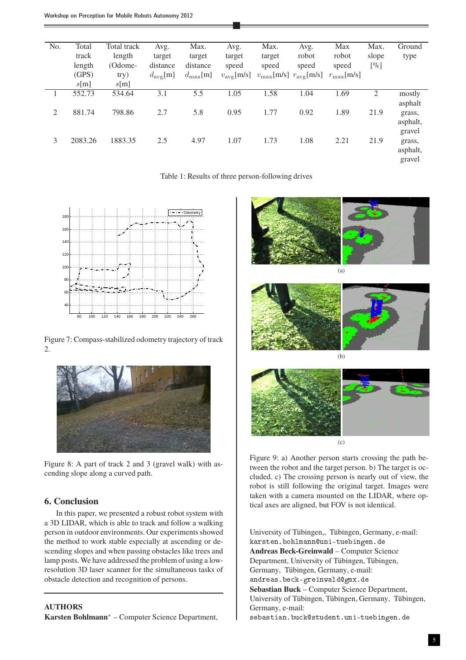<span id="page-4-0"></span>

| No. | Total   | Total track | Avg.                | Max.                 | Avg.                | Max.   | Avg.                                                      | Max                 | Max.   | Ground   |
|-----|---------|-------------|---------------------|----------------------|---------------------|--------|-----------------------------------------------------------|---------------------|--------|----------|
|     | track   | length      | target              | target               | target              | target | robot                                                     | robot               | slope  | type     |
|     | length  | (Odome-     | distance            | distance             | speed               | speed  | speed                                                     | speed               | $[\%]$ |          |
|     | (GPS)   | try)        | $d_{\text{avg}}[m]$ | $d_{\max}[\text{m}]$ | $v_{\rm avg}$ [m/s] |        | $v_{\text{max}}[\text{m/s}]$ $r_{\text{avg}}[\text{m/s}]$ | $r_{\rm max}$ [m/s] |        |          |
|     | s[m]    | s[m]        |                     |                      |                     |        |                                                           |                     |        |          |
|     | 552.73  | 534.64      | 3.1                 | 5.5                  | 1.05                | 1.58   | 1.04                                                      | 1.69                | 2      | mostly   |
|     |         |             |                     |                      |                     |        |                                                           |                     |        | asphalt  |
| 2   | 881.74  | 798.86      | 2.7                 | 5.8                  | 0.95                | 1.77   | 0.92                                                      | 1.89                | 21.9   | grass,   |
|     |         |             |                     |                      |                     |        |                                                           |                     |        | asphalt, |
|     |         |             |                     |                      |                     |        |                                                           |                     |        | gravel   |
| 3   | 2083.26 | 1883.35     | 2.5                 | 4.97                 | 1.07                | 1.73   | 1.08                                                      | 2.21                | 21.9   | grass,   |
|     |         |             |                     |                      |                     |        |                                                           |                     |        | asphalt, |
|     |         |             |                     |                      |                     |        |                                                           |                     |        | gravel   |
|     |         |             |                     |                      |                     |        |                                                           |                     |        |          |

Table 1: Results of three person-following drives

<span id="page-4-1"></span>

Figure 7: Compass-stabilized odometry trajectory of track 2.



Figure 8: A part of track 2 and 3 (gravel walk) with ascending slope along a curved path.

# **6. Conclusion**

In this paper, we presented a robust robot system with a 3D LIDAR, which is able to track and follow a walking person in outdoor environments. Our experiments showed the method to work stable especially at ascending or descending slopes and when passing obstacles like trees and lamp posts. We have addressed the problem of using a lowresolution 3D laser scanner for the simultaneous tasks of obstacle detection and recognition of persons.

# **AUTHORS**

**Karsten Bohlmann**<sup>∗</sup> – Computer Science Department,

<span id="page-4-2"></span>





Figure 9: a) Another person starts crossing the path between the robot and the target person. b) The target is occluded. c) The crossing person is nearly out of view, the robot is still following the original target. Images were taken with a camera mounted on the LIDAR, where optical axes are aligned, but FOV is not identical.

University of Tübingen,, Tübingen, Germany, e-mail: karsten.bohlmannungen.den.bohlmannungen.den.bohlmannungen.den.bohlmannungen.den.bohlmannungen.den.bo **Andreas Beck-Greinwald** – Computer Science Department, University of Tübingen, Tübingen, Germany, Tübingen, Germany, e-mail: andreas.org/walder.org/walder.org/ **Sebastian Buck** – Computer Science Department, University of Tübingen, Tübingen, Germany, Tübingen, Germany, e-mail:

sebastian.bundent.uni-tuebingen.den.de